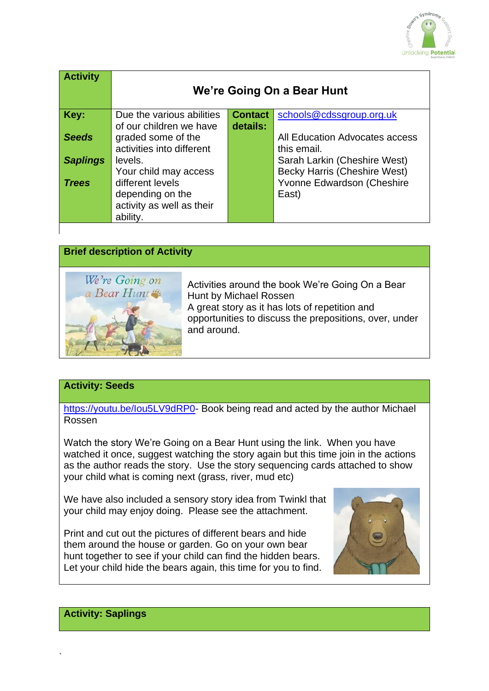

| <b>Activity</b> | We're Going On a Bear Hunt |                |                                |
|-----------------|----------------------------|----------------|--------------------------------|
| Key:            | Due the various abilities  | <b>Contact</b> | schools@cdssgroup.org.uk       |
|                 | of our children we have    | details:       |                                |
| <b>Seeds</b>    | graded some of the         |                | All Education Advocates access |
|                 | activities into different  |                | this email.                    |
| <b>Saplings</b> | levels.                    |                | Sarah Larkin (Cheshire West)   |
|                 | Your child may access      |                | Becky Harris (Cheshire West)   |
| <b>Trees</b>    | different levels           |                | Yvonne Edwardson (Cheshire     |
|                 | depending on the           |                | East)                          |
|                 | activity as well as their  |                |                                |
|                 | ability.                   |                |                                |



### **Activity: Seeds**

[https://youtu.be/Iou5LV9dRP0-](https://youtu.be/Iou5LV9dRP0) Book being read and acted by the author Michael Rossen

Watch the story We're Going on a Bear Hunt using the link. When you have watched it once, suggest watching the story again but this time join in the actions as the author reads the story. Use the story sequencing cards attached to show your child what is coming next (grass, river, mud etc)

We have also included a sensory story idea from Twinkl that your child may enjoy doing. Please see the attachment.

Print and cut out the pictures of different bears and hide them around the house or garden. Go on your own bear hunt together to see if your child can find the hidden bears. Let your child hide the bears again, this time for you to find.



# **Activity: Saplings**

`